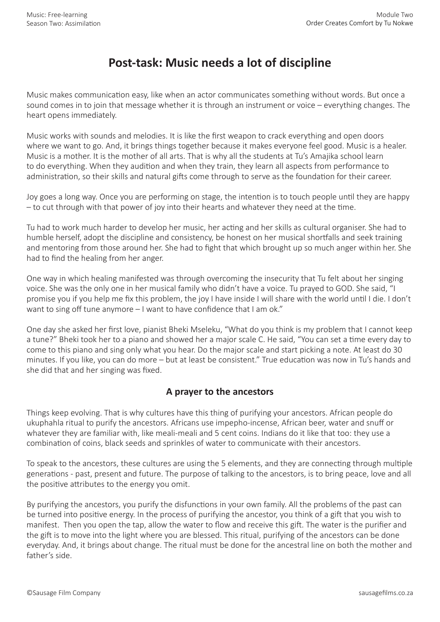## **Post-task: Music needs a lot of discipline**

Music makes communication easy, like when an actor communicates something without words. But once a sound comes in to join that message whether it is through an instrument or voice – everything changes. The heart opens immediately.

Music works with sounds and melodies. It is like the first weapon to crack everything and open doors where we want to go. And, it brings things together because it makes everyone feel good. Music is a healer. Music is a mother. It is the mother of all arts. That is why all the students at Tu's Amajika school learn to do everything. When they audition and when they train, they learn all aspects from performance to administration, so their skills and natural gifts come through to serve as the foundation for their career.

Joy goes a long way. Once you are performing on stage, the intention is to touch people until they are happy – to cut through with that power of joy into their hearts and whatever they need at the time.

Tu had to work much harder to develop her music, her acting and her skills as cultural organiser. She had to humble herself, adopt the discipline and consistency, be honest on her musical shortfalls and seek training and mentoring from those around her. She had to fight that which brought up so much anger within her. She had to find the healing from her anger.

One way in which healing manifested was through overcoming the insecurity that Tu felt about her singing voice. She was the only one in her musical family who didn't have a voice. Tu prayed to GOD. She said, "I promise you if you help me fix this problem, the joy I have inside I will share with the world until I die. I don't want to sing off tune anymore – I want to have confidence that I am ok."

One day she asked her first love, pianist Bheki Mseleku, "What do you think is my problem that I cannot keep a tune?" Bheki took her to a piano and showed her a major scale C. He said, "You can set a time every day to come to this piano and sing only what you hear. Do the major scale and start picking a note. At least do 30 minutes. If you like, you can do more – but at least be consistent." True education was now in Tu's hands and she did that and her singing was fixed.

## **A prayer to the ancestors**

Things keep evolving. That is why cultures have this thing of purifying your ancestors. African people do ukuphahla ritual to purify the ancestors. Africans use impepho-incense, African beer, water and snuff or whatever they are familiar with, like meali-meali and 5 cent coins. Indians do it like that too: they use a combination of coins, black seeds and sprinkles of water to communicate with their ancestors.

To speak to the ancestors, these cultures are using the 5 elements, and they are connecting through multiple generations - past, present and future. The purpose of talking to the ancestors, is to bring peace, love and all the positive attributes to the energy you omit.

By purifying the ancestors, you purify the disfunctions in your own family. All the problems of the past can be turned into positive energy. In the process of purifying the ancestor, you think of a gift that you wish to manifest. Then you open the tap, allow the water to flow and receive this gift. The water is the purifier and the gift is to move into the light where you are blessed. This ritual, purifying of the ancestors can be done everyday. And, it brings about change. The ritual must be done for the ancestral line on both the mother and father's side.